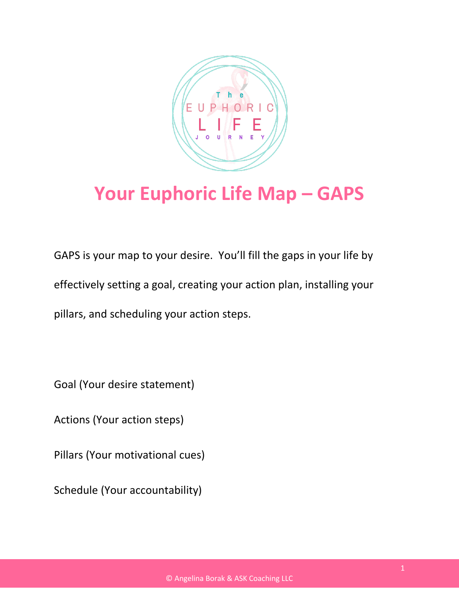

## **Your Euphoric Life Map – GAPS**

GAPS is your map to your desire. You'll fill the gaps in your life by effectively setting a goal, creating your action plan, installing your pillars, and scheduling your action steps.

Goal (Your desire statement)

Actions (Your action steps)

Pillars (Your motivational cues)

Schedule (Your accountability)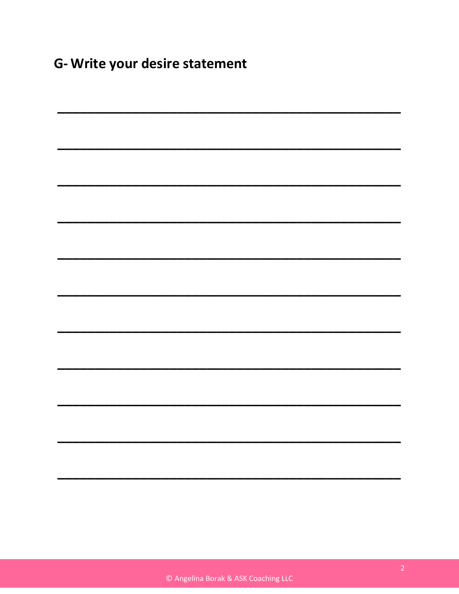G- Write your desire statement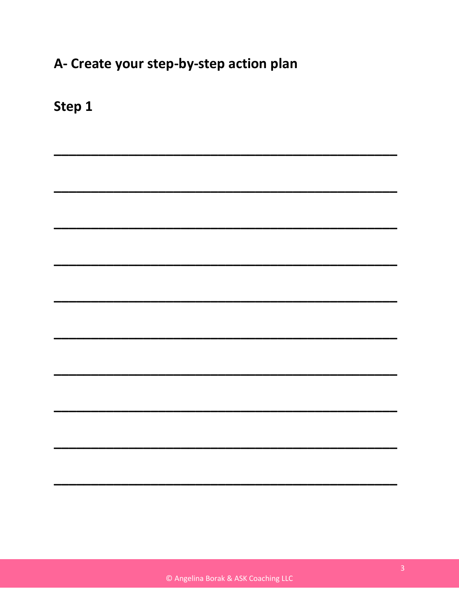## A- Create your step-by-step action plan

Step 1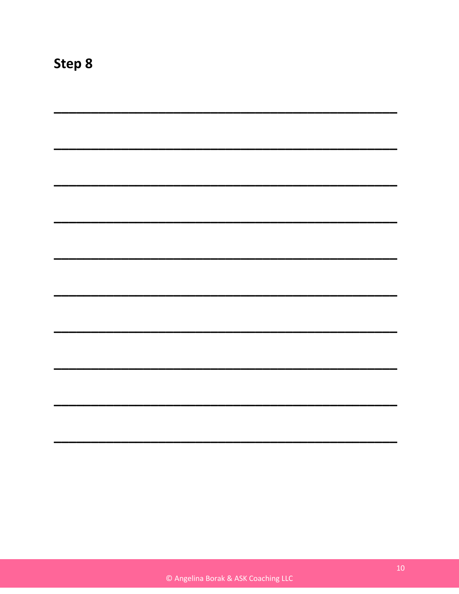| a sa kasang pangangang pangangang pangangang pangang pangang pangang pangang pangang pangang pangang pangangan |  |  |
|----------------------------------------------------------------------------------------------------------------|--|--|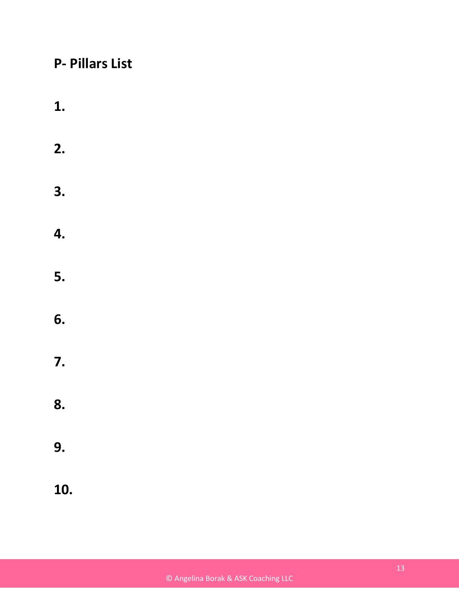## **P- Pillars List**

- **1.**
- **2.**
- **3.**
- **4.**
- **5.**
- **6.**
- **7.**
- **8.**
- **9.**
- **10.**